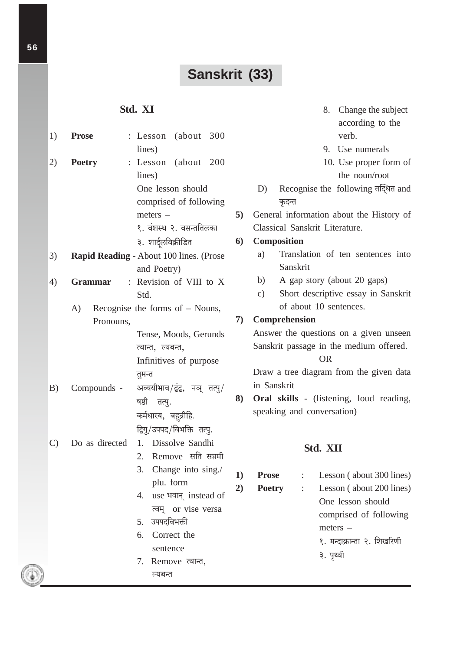# Sanskrit (33)

# Std. XI

| 1) | <b>Prose</b>      | : Lesson (about 300                     |
|----|-------------------|-----------------------------------------|
|    |                   | lines)                                  |
| 2) | <b>Poetry</b>     | : Lesson (about 200                     |
|    |                   | lines)                                  |
|    |                   | One lesson should                       |
|    |                   | comprised of following                  |
|    |                   | $meters -$                              |
|    |                   | १. वंशस्थ २. वसन्ततिलका                 |
|    |                   | ३. शार्दूलविक्रीडित                     |
| 3) |                   | Rapid Reading - About 100 lines. (Prose |
|    |                   | and Poetry)                             |
| 4) | Grammar           | : Revision of VIII to X                 |
|    |                   | Std.                                    |
|    | A)                | Recognise the forms of $-$ Nouns,       |
|    | Pronouns,         |                                         |
|    |                   | Tense, Moods, Gerunds                   |
|    |                   | त्वान्त, ल्यबन्त,                       |
|    |                   | Infinitives of purpose                  |
|    |                   | तुमन्त                                  |
|    | B) Compounds -    | अव्ययीभाव/द्वंद्व, नञ् तत्पु/           |
|    |                   | षष्ठी तत्पु.                            |
|    |                   | कर्मधारय, बह़्व्रीहि.                   |
|    |                   | द्विगु/उपपद/विभक्ति तत्पु.              |
|    | C) Do as directed | 1. Dissolve Sandhi                      |
|    |                   | 2. Remove सति सप्तमी                    |
|    |                   | 3. Change into sing./                   |
|    |                   | plu. form                               |
|    |                   | 4. use भवान् instead of                 |
|    |                   | त्वम् or vise versa                     |
|    |                   | 5. उपपदविभक्ती                          |
|    |                   | 6. Correct the                          |
|    |                   | sentence                                |
|    |                   | 7. Remove त्वान्त,                      |
|    |                   | ल्यबन्त                                 |

- 8. Change the subject according to the verb.
- 9. Use numerals
- 10. Use proper form of the noun/root
- $D)$ Recognise the following तद्धित and कृदन्त
- 5) General information about the History of Classical Sanskrit Literature.

### 6) Composition

- Translation of ten sentences into  $a)$ Sanskrit
- $b)$ A gap story (about 20 gaps)
- Short descriptive essay in Sanskrit  $c)$ of about 10 sentences.

# 7) Comprehension

Answer the questions on a given unseen Sanskrit passage in the medium offered.

**OR** 

Draw a tree diagram from the given data in Sanskrit

8) Oral skills - (listening, loud reading, speaking and conversation)

# Std. XII

- $1)$ **Prose**
- $2)$ **Poetry**
- Lesson (about 300 lines)  $\ddot{\phantom{a}}$
- Lesson (about 200 lines)  $\mathbb{R}^{\mathbb{Z}^2}$ One lesson should comprised of following  $meters -$ 
	- १. मन्दाक्रान्ता २. शिखरिणी
	- ३. पृथ्वी